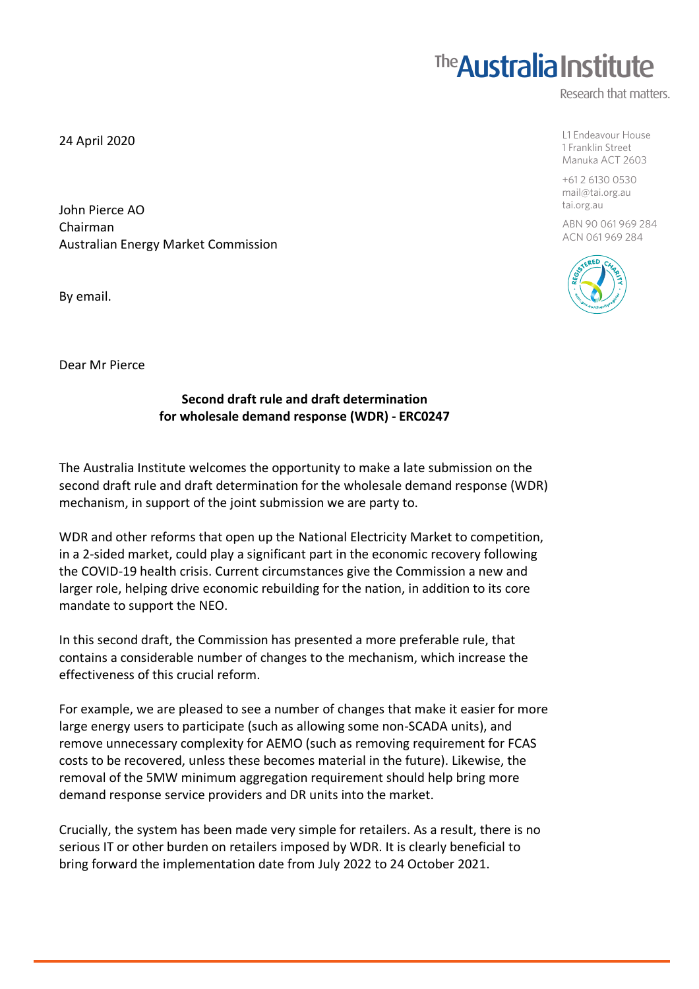## **The Australia Institute**

Research that matters.

L1 Endeavour House 1 Franklin Street Manuka ACT 2603

+61 2 6130 0530 mail@tai.org.au tai.org.au

ABN 90 061 969 284 ACN 061 969 284



24 April 2020

John Pierce AO Chairman Australian Energy Market Commission

By email.

Dear Mr Pierce

## **Second draft rule and draft determination for wholesale demand response (WDR) - ERC0247**

The Australia Institute welcomes the opportunity to make a late submission on the second draft rule and draft determination for the wholesale demand response (WDR) mechanism, in support of the joint submission we are party to.

WDR and other reforms that open up the National Electricity Market to competition, in a 2-sided market, could play a significant part in the economic recovery following the COVID-19 health crisis. Current circumstances give the Commission a new and larger role, helping drive economic rebuilding for the nation, in addition to its core mandate to support the NEO.

In this second draft, the Commission has presented a more preferable rule, that contains a considerable number of changes to the mechanism, which increase the effectiveness of this crucial reform.

For example, we are pleased to see a number of changes that make it easier for more large energy users to participate (such as allowing some non-SCADA units), and remove unnecessary complexity for AEMO (such as removing requirement for FCAS costs to be recovered, unless these becomes material in the future). Likewise, the removal of the 5MW minimum aggregation requirement should help bring more demand response service providers and DR units into the market.

Crucially, the system has been made very simple for retailers. As a result, there is no serious IT or other burden on retailers imposed by WDR. It is clearly beneficial to bring forward the implementation date from July 2022 to 24 October 2021.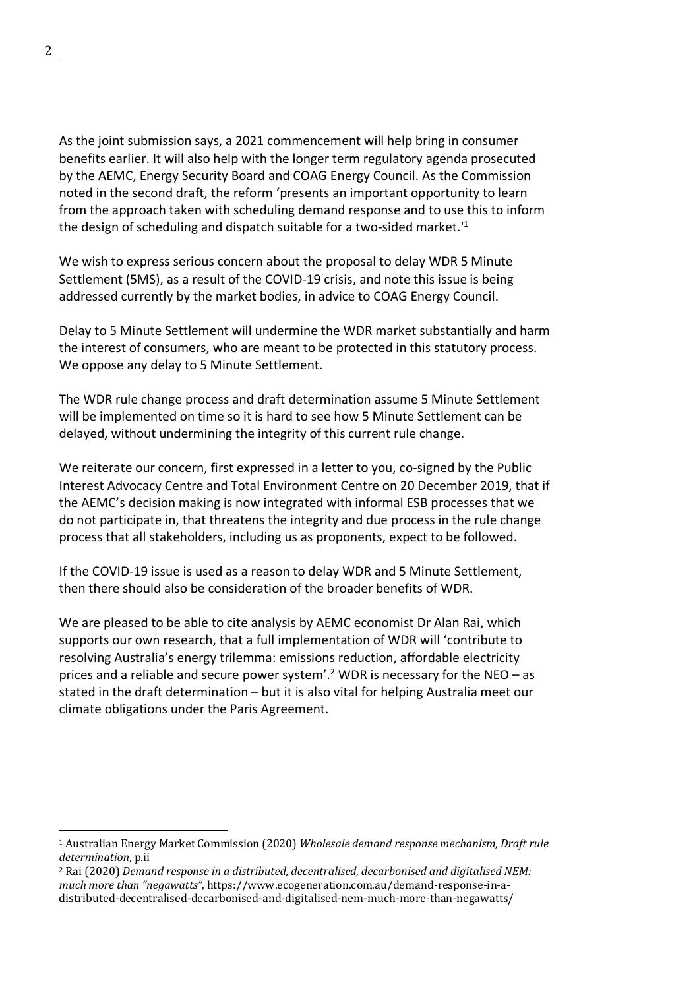As the joint submission says, a 2021 commencement will help bring in consumer benefits earlier. It will also help with the longer term regulatory agenda prosecuted by the AEMC, Energy Security Board and COAG Energy Council. As the Commission noted in the second draft, the reform 'presents an important opportunity to learn from the approach taken with scheduling demand response and to use this to inform the design of scheduling and dispatch suitable for a two-sided market.<sup>1</sup>

We wish to express serious concern about the proposal to delay WDR 5 Minute Settlement (5MS), as a result of the COVID-19 crisis, and note this issue is being addressed currently by the market bodies, in advice to COAG Energy Council.

Delay to 5 Minute Settlement will undermine the WDR market substantially and harm the interest of consumers, who are meant to be protected in this statutory process. We oppose any delay to 5 Minute Settlement.

The WDR rule change process and draft determination assume 5 Minute Settlement will be implemented on time so it is hard to see how 5 Minute Settlement can be delayed, without undermining the integrity of this current rule change.

We reiterate our concern, first expressed in a letter to you, co-signed by the Public Interest Advocacy Centre and Total Environment Centre on 20 December 2019, that if the AEMC's decision making is now integrated with informal ESB processes that we do not participate in, that threatens the integrity and due process in the rule change process that all stakeholders, including us as proponents, expect to be followed.

If the COVID-19 issue is used as a reason to delay WDR and 5 Minute Settlement, then there should also be consideration of the broader benefits of WDR.

We are pleased to be able to cite analysis by AEMC economist Dr Alan Rai, which supports our own research, that a full implementation of WDR will 'contribute to resolving Australia's energy trilemma: emissions reduction, affordable electricity prices and a reliable and secure power system'.<sup>2</sup> WDR is necessary for the NEO – as stated in the draft determination – but it is also vital for helping Australia meet our climate obligations under the Paris Agreement.

 

<sup>&</sup>lt;sup>1</sup> Australian Energy Market Commission (2020) *Wholesale demand response mechanism, Draft rule determination*, p.ii

<sup>&</sup>lt;sup>2</sup> Rai (2020) *Demand response in a distributed, decentralised, decarbonised and digitalised NEM:* much more than "negawatts", https://www.ecogeneration.com.au/demand-response-in-adistributed-decentralised-decarbonised-and-digitalised-nem-much-more-than-negawatts/